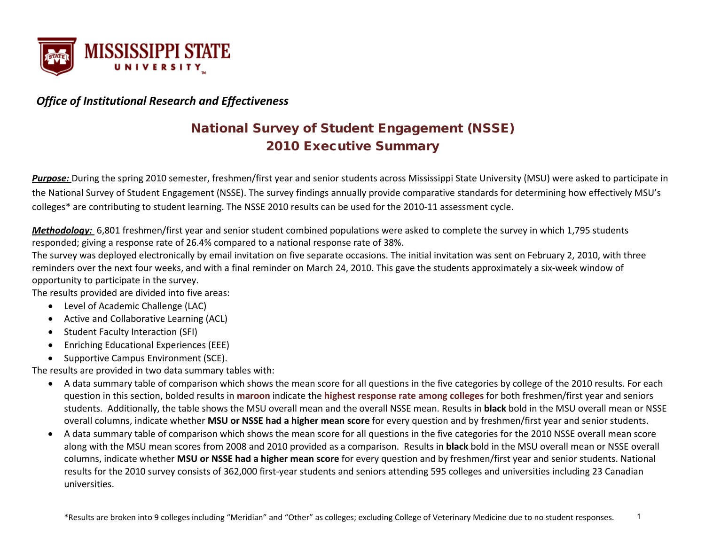

# *Office of Institutional Research and Effectiveness*

# National Survey of Student Engagement (NSSE) 2010 Executive Summary

*Purpose:* During the spring 2010 semester, freshmen/first year and senior students across Mississippi State University (MSU) were asked to participate in the National Survey of Student Engagement (NSSE). The survey findings annually provide comparative standards for determining how effectively MSU's colleges\* are contributing to student learning. The NSSE 2010 results can be used for the 2010-11 assessment cycle.

*Methodology:* 6,801 freshmen/first year and senior student combined populations were asked to complete the survey in which 1,795 students responded; giving a response rate of 26.4% compared to a national response rate of 38%.

The survey was deployed electronically by email invitation on five separate occasions. The initial invitation was sent on February 2, 2010, with three reminders over the next four weeks, and with a final reminder on March 24, 2010. This gave the students approximately a six-week window of opportunity to participate in the survey.

The results provided are divided into five areas:

- Level of Academic Challenge (LAC)
- Active and Collaborative Learning (ACL)
- Student Faculty Interaction (SFI)
- Enriching Educational Experiences (EEE)
- Supportive Campus Environment (SCE).

The results are provided in two data summary tables with:

- A data summary table of comparison which shows the mean score for all questions in the five categories by college of the 2010 results. For each question in this section, bolded results in **maroon** indicate the **highest response rate among colleges** for both freshmen/first year and seniors students. Additionally, the table shows the MSU overall mean and the overall NSSE mean. Results in **black** bold in the MSU overall mean or NSSE overall columns, indicate whether **MSU or NSSE had a higher mean score** for every question and by freshmen/first year and senior students.
- A data summary table of comparison which shows the mean score for all questions in the five categories for the 2010 NSSE overall mean score along with the MSU mean scores from 2008 and 2010 provided as a comparison. Results in **black** bold in the MSU overall mean or NSSE overall columns, indicate whether **MSU or NSSE had a higher mean score** for every question and by freshmen/first year and senior students. National results for the 2010 survey consists of 362,000 first-year students and seniors attending 595 colleges and universities including 23 Canadian universities.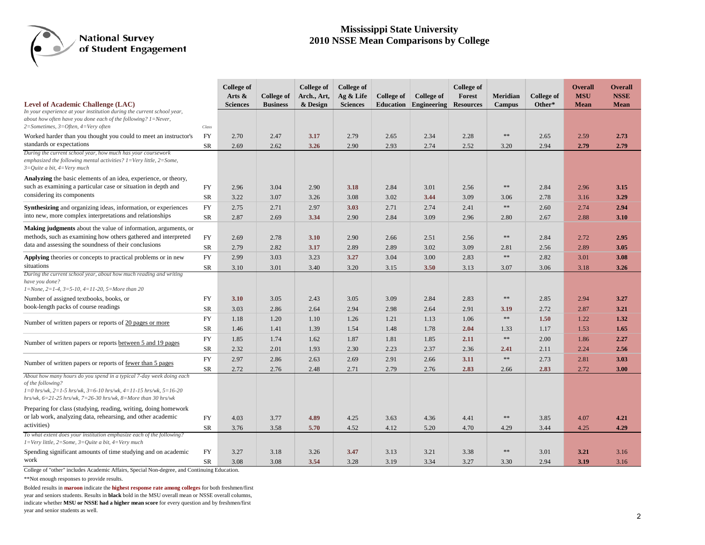#### **Mississippi State University 2010 NSSE Mean Comparisons by College**

|                                                                                                                                                                                                                                                 |            | <b>College of</b><br>Arts $\&$ | College of      | College of<br>Arch., Art, | College of<br>Ag & Life | <b>College of</b> | College of                   | <b>College of</b><br>Forest | <b>Meridian</b> | <b>College of</b> | <b>Overall</b><br><b>MSU</b> | <b>Overall</b><br><b>NSSE</b> |
|-------------------------------------------------------------------------------------------------------------------------------------------------------------------------------------------------------------------------------------------------|------------|--------------------------------|-----------------|---------------------------|-------------------------|-------------------|------------------------------|-----------------------------|-----------------|-------------------|------------------------------|-------------------------------|
| Level of Academic Challenge (LAC)<br>In your experience at your institution during the current school year,<br>about how often have you done each of the following? $1 =$ Never,                                                                |            | <b>Sciences</b>                | <b>Business</b> | & Design                  | <b>Sciences</b>         |                   | <b>Education</b> Engineering | <b>Resources</b>            | Campus          | Other*            | <b>Mean</b>                  | <b>Mean</b>                   |
| $2=Sometimes, 3=Often, 4=Very often$                                                                                                                                                                                                            | Class      |                                |                 |                           |                         |                   |                              |                             |                 |                   |                              |                               |
| Worked harder than you thought you could to meet an instructor's<br>standards or expectations                                                                                                                                                   | <b>FY</b>  | 2.70                           | 2.47            | 3.17                      | 2.79                    | 2.65              | 2.34                         | 2.28                        | $\ast\ast$      | 2.65              | 2.59                         | 2.73                          |
| During the current school year, how much has your coursework                                                                                                                                                                                    | <b>SR</b>  | 2.69                           | 2.62            | 3.26                      | 2.90                    | 2.93              | 2.74                         | 2.52                        | 3.20            | 2.94              | 2.79                         | 2.79                          |
| emphasized the following mental activities? $1 = \text{Very little}, 2 = \text{Some},$<br>$3=Q$ uite a bit, $4=V$ ery much                                                                                                                      |            |                                |                 |                           |                         |                   |                              |                             |                 |                   |                              |                               |
| Analyzing the basic elements of an idea, experience, or theory,                                                                                                                                                                                 |            |                                |                 |                           |                         |                   |                              |                             |                 |                   |                              |                               |
| such as examining a particular case or situation in depth and                                                                                                                                                                                   | <b>FY</b>  | 2.96                           | 3.04            | 2.90                      | 3.18                    | 2.84              | 3.01                         | 2.56                        | $\ast$          | 2.84              | 2.96                         | 3.15                          |
| considering its components                                                                                                                                                                                                                      | SR         | 3.22                           | 3.07            | 3.26                      | 3.08                    | 3.02              | 3.44                         | 3.09                        | 3.06            | 2.78              | 3.16                         | 3.29                          |
| <b>Synthesizing</b> and organizing ideas, information, or experiences                                                                                                                                                                           | <b>FY</b>  | 2.75                           | 2.71            | 2.97                      | 3.03                    | 2.71              | 2.74                         | 2.41                        | $\ast\ast$      | 2.60              | 2.74                         | 2.94                          |
| into new, more complex interpretations and relationships                                                                                                                                                                                        | SR         | 2.87                           | 2.69            | 3.34                      | 2.90                    | 2.84              | 3.09                         | 2.96                        | 2.80            | 2.67              | 2.88                         | 3.10                          |
| <b>Making judgments</b> about the value of information, arguments, or                                                                                                                                                                           |            |                                |                 |                           |                         |                   |                              |                             |                 |                   |                              |                               |
| methods, such as examining how others gathered and interpreted                                                                                                                                                                                  | FY         | 2.69                           | 2.78            | 3.10                      | 2.90                    | 2.66              | 2.51                         | 2.56                        | $\ast\ast$      | 2.84              | 2.72                         | 2.95                          |
| data and assessing the soundness of their conclusions                                                                                                                                                                                           | SR         | 2.79                           | 2.82            | 3.17                      | 2.89                    | 2.89              | 3.02                         | 3.09                        | 2.81            | 2.56              | 2.89                         | 3.05                          |
| <b>Applying</b> theories or concepts to practical problems or in new                                                                                                                                                                            | <b>FY</b>  | 2.99                           | 3.03            | 3.23                      | 3.27                    | 3.04              | 3.00                         | 2.83                        | $\ast\ast$      | 2.82              | 3.01                         | 3.08                          |
| situations                                                                                                                                                                                                                                      | SR         | 3.10                           | 3.01            | 3.40                      | 3.20                    | 3.15              | 3.50                         | 3.13                        | 3.07            | 3.06              | 3.18                         | 3.26                          |
| During the current school year, about how much reading and writing<br>have you done?<br>$1 = None$ , $2 = 1-4$ , $3 = 5-10$ , $4 = 11-20$ , $5 = More than 20$                                                                                  |            |                                |                 |                           |                         |                   |                              |                             |                 |                   |                              |                               |
| Number of assigned textbooks, books, or                                                                                                                                                                                                         | <b>FY</b>  | 3.10                           | 3.05            | 2.43                      | 3.05                    | 3.09              | 2.84                         | 2.83                        | $\ast\ast$      | 2.85              | 2.94                         | 3.27                          |
| book-length packs of course readings                                                                                                                                                                                                            | SR         | 3.03                           | 2.86            | 2.64                      | 2.94                    | 2.98              | 2.64                         | 2.91                        | 3.19            | 2.72              | 2.87                         | 3.21                          |
| Number of written papers or reports of 20 pages or more                                                                                                                                                                                         | FY         | 1.18                           | 1.20            | 1.10                      | 1.26                    | 1.21              | 1.13                         | 1.06                        | $\ast\ast$      | 1.50              | 1.22                         | 1.32                          |
|                                                                                                                                                                                                                                                 | SR         | 1.46                           | 1.41            | 1.39                      | 1.54                    | 1.48              | 1.78                         | 2.04                        | 1.33            | 1.17              | 1.53                         | 1.65                          |
| Number of written papers or reports between 5 and 19 pages                                                                                                                                                                                      | <b>FY</b>  | 1.85                           | 1.74            | 1.62                      | 1.87                    | 1.81              | 1.85                         | 2.11                        | $\ast\ast$      | 2.00              | 1.86                         | 2.27                          |
|                                                                                                                                                                                                                                                 | SR         | 2.32                           | 2.01            | 1.93                      | 2.30                    | 2.23              | 2.37                         | 2.36                        | 2.41            | 2.11              | 2.24                         | 2.56                          |
| Number of written papers or reports of fewer than 5 pages                                                                                                                                                                                       | <b>FY</b>  | 2.97                           | 2.86            | 2.63                      | 2.69                    | 2.91              | 2.66                         | 3.11                        | $\ast$          | 2.73              | 2.81                         | 3.03                          |
|                                                                                                                                                                                                                                                 | SR         | 2.72                           | 2.76            | 2.48                      | 2.71                    | 2.79              | 2.76                         | 2.83                        | 2.66            | 2.83              | 2.72                         | 3.00                          |
| About how many hours do you spend in a typical 7-day week doing each<br>of the following?<br>$1=0$ hrs/wk, $2=1-5$ hrs/wk, $3=6-10$ hrs/wk, $4=11-15$ hrs/wk, $5=16-20$<br>hrs/wk, $6=21-25$ hrs/wk, $7=26-30$ hrs/wk, $8=$ More than 30 hrs/wk |            |                                |                 |                           |                         |                   |                              |                             |                 |                   |                              |                               |
| Preparing for class (studying, reading, writing, doing homework<br>or lab work, analyzing data, rehearsing, and other academic                                                                                                                  | FY         | 4.03                           | 3.77            | 4.89                      | 4.25                    | 3.63              | 4.36                         | 4.41                        | $\ast\ast$      | 3.85              | 4.07                         | 4.21                          |
| activities)                                                                                                                                                                                                                                     | ${\rm SR}$ | 3.76                           | 3.58            | 5.70                      | 4.52                    | 4.12              | 5.20                         | 4.70                        | 4.29            | 3.44              | 4.25                         | 4.29                          |
| To what extent does your institution emphasize each of the following?<br>$1 = \text{Very little}, 2 = \text{Some}, 3 = \text{Quite}$ a bit, $4 = \text{Very much}$                                                                              |            |                                |                 |                           |                         |                   |                              |                             |                 |                   |                              |                               |
| Spending significant amounts of time studying and on academic                                                                                                                                                                                   | FY         | 3.27                           | 3.18            | 3.26                      | 3.47                    | 3.13              | 3.21                         | 3.38                        | $\ast$          | 3.01              | 3.21                         | 3.16                          |
| work                                                                                                                                                                                                                                            | SR         | 3.08                           | 3.08            | 3.54                      | 3.28                    | 3.19              | 3.34                         | 3.27                        | 3.30            | 2.94              | 3.19                         | 3.16                          |

College of "other" includes Academic Affairs, Special Non-degree, and Continuing Education.

\*\*Not enough responses to provide results.

Bolded results in **maroon** indicate the **highest response rate among colleges** for both freshmen/first year and seniors students. Results in **black** bold in the MSU overall mean or NSSE overall columns, indicate whether **MSU or NSSE had a higher mean score** for every question and by freshmen/first year and senior students as well.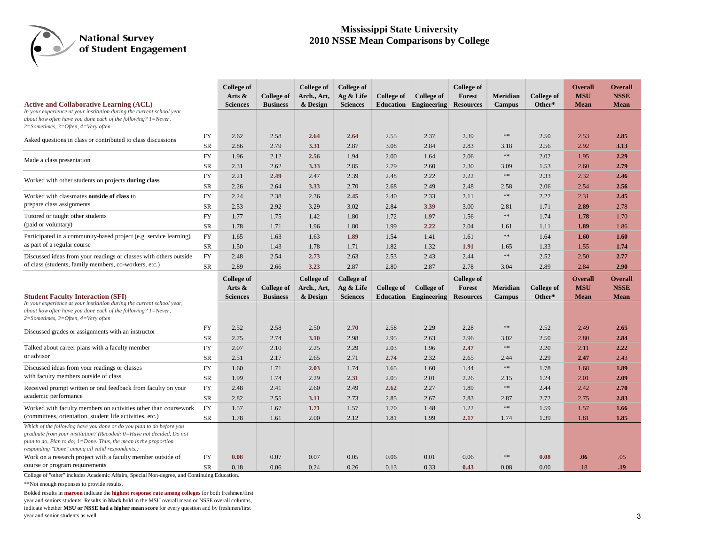#### **Mississippi State University 2010 NSSE Mean Comparisons by College**

|                                                                                                                                                                                                                                                                     |            | <b>College of</b><br>Arts & | College of        | <b>College of</b><br>Arch., Art, | <b>College of</b><br>Ag & Life | <b>College of</b> | College of  | <b>College of</b><br>Forest | <b>Meridian</b> | College of | <b>Overall</b><br><b>MSU</b> | <b>Overall</b><br><b>NSSE</b> |
|---------------------------------------------------------------------------------------------------------------------------------------------------------------------------------------------------------------------------------------------------------------------|------------|-----------------------------|-------------------|----------------------------------|--------------------------------|-------------------|-------------|-----------------------------|-----------------|------------|------------------------------|-------------------------------|
| <b>Active and Collaborative Learning (ACL)</b><br>In your experience at your institution during the current school year,<br>about how often have you done each of the following? $1 =$ Never,<br>2=Sometimes, 3=Often, 4=Very often                                 |            | <b>Sciences</b>             | <b>Business</b>   | & Design                         | <b>Sciences</b>                | <b>Education</b>  | Engineering | <b>Resources</b>            | <b>Campus</b>   | Other*     | <b>Mean</b>                  | <b>Mean</b>                   |
| Asked questions in class or contributed to class discussions                                                                                                                                                                                                        | FY         | 2.62                        | 2.58              | 2.64                             | 2.64                           | 2.55              | 2.37        | 2.39                        | $\ast\ast$      | 2.50       | 2.53                         | 2.85                          |
|                                                                                                                                                                                                                                                                     | SR         | 2.86                        | 2.79              | 3.31                             | 2.87                           | 3.08              | 2.84        | 2.83                        | 3.18            | 2.56       | 2.92                         | 3.13                          |
| Made a class presentation                                                                                                                                                                                                                                           | <b>FY</b>  | 1.96                        | 2.12              | 2.56                             | 1.94                           | 2.00              | 1.64        | 2.06                        | $\ast\ast$      | 2.02       | 1.95                         | 2.29                          |
|                                                                                                                                                                                                                                                                     | SR         | 2.31                        | 2.62              | 3.33                             | 2.85                           | 2.79              | 2.60        | 2.30                        | 3.09            | 1.53       | 2.60                         | 2.79                          |
| Worked with other students on projects during class                                                                                                                                                                                                                 | FY         | 2.21                        | 2.49              | 2.47                             | 2.39                           | 2.48              | 2.22        | 2.22                        | $\ast\ast$      | 2.33       | 2.32                         | 2.46                          |
|                                                                                                                                                                                                                                                                     | SR         | 2.26                        | 2.64              | 3.33                             | 2.70                           | 2.68              | 2.49        | 2.48                        | 2.58            | 2.06       | 2.54                         | 2.56                          |
| Worked with classmates outside of class to                                                                                                                                                                                                                          | FY         | 2.24                        | 2.38              | 2.36                             | 2.45                           | 2.40              | 2.33        | 2.11                        | $\ast\ast$      | 2.22       | 2.31                         | 2.45                          |
| prepare class assignments                                                                                                                                                                                                                                           | SR         | 2.53                        | 2.92              | 3.29                             | 3.02                           | 2.84              | 3.39        | 3.00                        | 2.81            | 1.71       | 2.89                         | 2.78                          |
| Tutored or taught other students                                                                                                                                                                                                                                    | FY         | 1.77                        | 1.75              | 1.42                             | 1.80                           | 1.72              | 1.97        | 1.56                        | $\ast\ast$      | 1.74       | 1.78                         | 1.70                          |
| (paid or voluntary)                                                                                                                                                                                                                                                 | SR         | 1.78                        | 1.71              | 1.96                             | 1.80                           | 1.99              | 2.22        | 2.04                        | 1.61            | 1.11       | 1.89                         | 1.86                          |
| Participated in a community-based project (e.g. service learning)                                                                                                                                                                                                   | FY         | 1.65                        | 1.63              | 1.63                             | 1.89                           | 1.54              | 1.41        | 1.61                        | $\ast\ast$      | 1.64       | 1.60                         | 1.60                          |
| as part of a regular course                                                                                                                                                                                                                                         | SR         | 1.50                        | 1.43              | 1.78                             | 1.71                           | 1.82              | 1.32        | 1.91                        | 1.65            | 1.33       | 1.55                         | 1.74                          |
| Discussed ideas from your readings or classes with others outside                                                                                                                                                                                                   | FY         | 2.48                        | 2.54              | 2.73                             | 2.63                           | 2.53              | 2.43        | 2.44                        | $\ast\ast$      | 2.52       | 2.50                         | 2.77                          |
| of class (students, family members, co-workers, etc.)                                                                                                                                                                                                               | <b>SR</b>  | 2.89                        | 2.66              | 3.23                             | 2.87                           | 2.80              | 2.87        | 2.78                        | 3.04            | 2.89       | 2.84                         | 2.90                          |
|                                                                                                                                                                                                                                                                     |            | <b>College of</b>           |                   | College of                       | <b>College of</b>              |                   |             | <b>College of</b>           |                 |            | <b>Overall</b>               | <b>Overall</b>                |
|                                                                                                                                                                                                                                                                     |            | Arts &                      | <b>College of</b> | Arch., Art,                      | Ag & Life                      | College of        | College of  | <b>Forest</b>               | Meridian        | College of | <b>MSU</b>                   | <b>NSSE</b>                   |
| <b>Student Faculty Interaction (SFI)</b><br>In your experience at your institution during the current school year,                                                                                                                                                  |            | <b>Sciences</b>             | <b>Business</b>   | & Design                         | <b>Sciences</b>                | <b>Education</b>  | Engineering | <b>Resources</b>            | <b>Campus</b>   | Other*     | <b>Mean</b>                  | Mean                          |
| about how often have you done each of the following? 1=Never,<br>$2=Sometimes, 3=Often, 4=Very often$                                                                                                                                                               |            |                             |                   |                                  |                                |                   |             |                             |                 |            |                              |                               |
| Discussed grades or assignments with an instructor                                                                                                                                                                                                                  | FY         | 2.52                        | 2.58              | 2.50                             | 2.70                           | 2.58              | 2.29        | 2.28                        | $\ast$          | 2.52       | 2.49                         | 2.65                          |
|                                                                                                                                                                                                                                                                     | SR         | 2.75                        | 2.74              | 3.10                             | 2.98                           | 2.95              | 2.63        | 2.96                        | 3.02            | 2.50       | 2.80                         | 2.84                          |
| Talked about career plans with a faculty member                                                                                                                                                                                                                     | <b>FY</b>  | 2.07                        | 2.10              | 2.25                             | 2.29                           | 2.03              | 1.96        | 2.47                        | $\ast$          | 2.20       | 2.11                         | 2.22                          |
| or advisor                                                                                                                                                                                                                                                          | SR         | 2.51                        | 2.17              | 2.65                             | 2.71                           | 2.74              | 2.32        | 2.65                        | 2.44            | 2.29       | 2.47                         | 2.43                          |
| Discussed ideas from your readings or classes                                                                                                                                                                                                                       | FY         | 1.60                        | 1.71              | 2.03                             | 1.74                           | 1.65              | 1.60        | 1.44                        | $\ast\ast$      | 1.78       | 1.68                         | 1.89                          |
| with faculty members outside of class                                                                                                                                                                                                                               | SR         | 1.99                        | 1.74              | 2.29                             | 2.31                           | 2.05              | 2.01        | 2.26                        | 2.15            | 1.24       | 2.01                         | 2.09                          |
| Received prompt written or oral feedback from faculty on your                                                                                                                                                                                                       | FY         | 2.48                        | 2.41              | 2.60                             | 2.49                           | 2.62              | 2.27        | 1.89                        | $\ast\ast$      | 2.44       | 2.42                         | 2.70                          |
| academic performance                                                                                                                                                                                                                                                | ${\rm SR}$ | 2.82                        | 2.55              | 3.11                             | 2.73                           | 2.85              | 2.67        | 2.83                        | 2.87            | 2.72       | 2.75                         | 2.83                          |
| Worked with faculty members on activities other than coursework                                                                                                                                                                                                     | FY         | 1.57                        | 1.67              | 1.71                             | 1.57                           | 1.70              | 1.48        | 1.22                        | $\ast\ast$      | 1.59       | 1.57                         | 1.66                          |
| (committees, orientation, student life activities, etc.)                                                                                                                                                                                                            | SR         | 1.78                        | 1.61              | 2.00                             | 2.12                           | 1.81              | 1.99        | 2.17                        | 1.74            | 1.39       | 1.81                         | 1.85                          |
| Which of the following have you done or do you plan to do before you<br>graduate from your institution? (Recoded: 0=Have not decided, Do not<br>plan to do, Plan to do; 1=Done. Thus, the mean is the proportion<br>responding "Done" among all valid respondents.) |            |                             |                   |                                  |                                |                   |             |                             |                 |            |                              |                               |
| Work on a research project with a faculty member outside of                                                                                                                                                                                                         |            |                             |                   |                                  |                                |                   |             |                             |                 |            |                              |                               |
| course or program requirements                                                                                                                                                                                                                                      | FY         | 0.08                        | 0.07              | 0.07                             | 0.05                           | 0.06              | 0.01        | 0.06                        | $\ast\ast$      | 0.08       | .06                          | .05                           |

College of "other" includes Academic Affairs, Special Non-degree, and Continuing Education.

\*\*Not enough responses to provide results.

Bolded results in **maroon** indicate the **highest response rate among colleges** for both freshmen/first year and seniors students. Results in **black** bold in the MSU overall mean or NSSE overall columns, indicate whether **MSU or NSSE had a higher mean score** for every question and by freshmen/first year and senior students as well.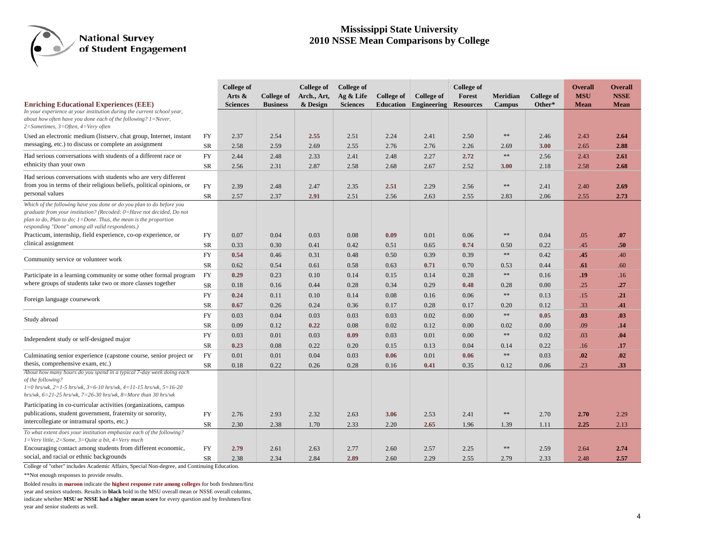#### **Mississippi State University 2010 NSSE Mean Comparisons by College**

|                                                                                                                                                                                                                                                                         |           | <b>College of</b> |                 | College of   | <b>College of</b> |                   |              | <b>College of</b> |                 |                   | <b>Overall</b> | <b>Overall</b> |
|-------------------------------------------------------------------------------------------------------------------------------------------------------------------------------------------------------------------------------------------------------------------------|-----------|-------------------|-----------------|--------------|-------------------|-------------------|--------------|-------------------|-----------------|-------------------|----------------|----------------|
|                                                                                                                                                                                                                                                                         |           | Arts &            | College of      | Arch., Art,  | Ag & Life         | <b>College of</b> | College of   | Forest            | <b>Meridian</b> | <b>College of</b> | <b>MSU</b>     | <b>NSSE</b>    |
| <b>Enriching Educational Experiences (EEE)</b><br>In your experience at your institution during the current school year,                                                                                                                                                |           | <b>Sciences</b>   | <b>Business</b> | & Design     | <b>Sciences</b>   | <b>Education</b>  | Engineering  | <b>Resources</b>  | <b>Campus</b>   | Other*            | <b>Mean</b>    | <b>Mean</b>    |
| about how often have you done each of the following? 1=Never,<br>$2=Sometimes, 3=Often, 4=Very often$                                                                                                                                                                   |           |                   |                 |              |                   |                   |              |                   |                 |                   |                |                |
| Used an electronic medium (listserv, chat group, Internet, instant                                                                                                                                                                                                      | <b>FY</b> | 2.37              | 2.54            | 2.55         | 2.51              | 2.24              | 2.41         | 2.50              | $\gg \gg$       | 2.46              | 2.43           | 2.64           |
| messaging, etc.) to discuss or complete an assignment                                                                                                                                                                                                                   | SR        | 2.58              | 2.59            | 2.69         | 2.55              | 2.76              | 2.76         | 2.26              | 2.69            | 3.00              | 2.65           | 2.88           |
| Had serious conversations with students of a different race or                                                                                                                                                                                                          | <b>FY</b> | 2.44              | 2.48            | 2.33         | 2.41              | 2.48              | 2.27         | 2.72              | $\ast$          | 2.56              | 2.43           | 2.61           |
| ethnicity than your own                                                                                                                                                                                                                                                 | SR        | 2.56              | 2.31            | 2.87         | 2.58              | 2.68              | 2.67         | 2.52              | 3.00            | 2.18              | 2.58           | 2.68           |
| Had serious conversations with students who are very different<br>from you in terms of their religious beliefs, political opinions, or<br>personal values                                                                                                               | <b>FY</b> | 2.39              | 2.48            | 2.47         | 2.35              | 2.51              | 2.29         | 2.56              | $\ast\ast$      | 2.41              | 2.40           | 2.69           |
|                                                                                                                                                                                                                                                                         | SR        | 2.57              | 2.37            | 2.91         | 2.51              | 2.56              | 2.63         | 2.55              | 2.83            | 2.06              | 2.55           | 2.73           |
| Which of the following have you done or do you plan to do before you<br>graduate from your institution? (Recoded: 0=Have not decided, Do not<br>plan to do, Plan to do; $1 =$ Done. Thus, the mean is the proportion<br>responding "Done" among all valid respondents.) |           |                   |                 |              |                   |                   |              |                   |                 |                   |                |                |
| Practicum, internship, field experience, co-op experience, or                                                                                                                                                                                                           | FY        | 0.07              | 0.04            | 0.03         | 0.08              | 0.09              | 0.01         | 0.06              | $\ast\ast$      | 0.04              | .05            | .07            |
| clinical assignment                                                                                                                                                                                                                                                     | SR        | 0.33              | 0.30            | 0.41         | 0.42              | 0.51              | 0.65         | 0.74              | 0.50            | 0.22              | .45            | .50            |
| Community service or volunteer work                                                                                                                                                                                                                                     | <b>FY</b> | 0.54              | 0.46            | 0.31         | 0.48              | 0.50              | 0.39         | 0.39              | $\ast\ast$      | 0.42              | .45            | .40            |
|                                                                                                                                                                                                                                                                         | SR        | 0.62              | 0.54            | 0.61         | 0.58              | 0.63              | 0.71         | 0.70              | 0.53            | 0.44              | .61            | .60            |
| Participate in a learning community or some other formal program                                                                                                                                                                                                        | <b>FY</b> | 0.29              | 0.23            | 0.10         | 0.14              | 0.15              | 0.14         | 0.28              | $\ast\ast$      | 0.16              | .19            | .16            |
| where groups of students take two or more classes together                                                                                                                                                                                                              | SR        | 0.18              | 0.16            | 0.44         | 0.28              | 0.34              | 0.29         | 0.48              | 0.28            | 0.00              | .25            | .27            |
| Foreign language coursework                                                                                                                                                                                                                                             | <b>FY</b> | 0.24              | 0.11            | 0.10         | 0.14              | 0.08              | 0.16         | 0.06              | $\ast$          | 0.13              | .15            | .21            |
|                                                                                                                                                                                                                                                                         | SR        | 0.67              | 0.26            | 0.24         | 0.36              | 0.17              | 0.28         | 0.17              | 0.20            | 0.12              | .33            | .41            |
| Study abroad                                                                                                                                                                                                                                                            | FY        | 0.03              | 0.04            | 0.03         | 0.03              | 0.03              | 0.02         | 0.00              | $\gg \gg$       | 0.05              | .03            | .03            |
|                                                                                                                                                                                                                                                                         | SR        | 0.09              | 0.12            | 0.22         | 0.08              | 0.02              | 0.12         | 0.00              | 0.02            | 0.00              | .09            | .14            |
| Independent study or self-designed major                                                                                                                                                                                                                                | <b>FY</b> | 0.03              | 0.01            | 0.03         | 0.09              | 0.03              | 0.01         | 0.00              | $\gg \gg$       | 0.02              | .03            | .04            |
|                                                                                                                                                                                                                                                                         | SR        | 0.23              | 0.08            | 0.22         | 0.20              | 0.15              | 0.13         | 0.04              | 0.14            | 0.22              | .16            | .17            |
| Culminating senior experience (capstone course, senior project or                                                                                                                                                                                                       | FY        | 0.01              | 0.01            | 0.04         | 0.03              | 0.06              | 0.01         | 0.06              | $\ast\ast$      | 0.03              | .02            | .02            |
| thesis, comprehensive exam, etc.)                                                                                                                                                                                                                                       | SR        | 0.18              | 0.22            | 0.26         | 0.28              | 0.16              | 0.41         | 0.35              | 0.12            | 0.06              | .23            | .33            |
| About how many hours do you spend in a typical 7-day week doing each<br>of the following?<br>$1=0$ hrs/wk, $2=1-5$ hrs/wk, $3=6-10$ hrs/wk, $4=11-15$ hrs/wk, $5=16-20$<br>hrs/wk, $6=21-25$ hrs/wk, $7=26-30$ hrs/wk, $8=$ More than 30 hrs/wk                         |           |                   |                 |              |                   |                   |              |                   |                 |                   |                |                |
| Participating in co-curricular activities (organizations, campus                                                                                                                                                                                                        |           |                   |                 |              |                   |                   |              |                   |                 |                   |                |                |
| publications, student government, fraternity or sorority,                                                                                                                                                                                                               | <b>FY</b> | 2.76              | 2.93            | 2.32         | 2.63              | 3.06              | 2.53         | 2.41              | $\ast\ast$      | 2.70              | 2.70           | 2.29           |
| intercollegiate or intramural sports, etc.)                                                                                                                                                                                                                             | SR        | 2.30              | 2.38            | 1.70         | 2.33              | 2.20              | 2.65         | 1.96              | 1.39            | 1.11              | 2.25           | 2.13           |
| To what extent does your institution emphasize each of the following?<br>$1=$ Very little, $2=$ Some, $3=$ Quite a bit, $4=$ Very much                                                                                                                                  |           |                   |                 |              |                   |                   |              |                   | $\ast\ast$      |                   |                |                |
| Encouraging contact among students from different economic,<br>social, and racial or ethnic backgrounds                                                                                                                                                                 | FY<br>SR  | 2.79<br>2.38      | 2.61<br>2.34    | 2.63<br>2.84 | 2.77<br>2.89      | 2.60<br>2.60      | 2.57<br>2.29 | 2.25<br>2.55      | 2.79            | 2.59<br>2.33      | 2.64<br>2.48   | 2.74<br>2.57   |

College of "other" includes Academic Affairs, Special Non-degree, and Continuing Education.

\*\*Not enough responses to provide results.

Bolded results in **maroon** indicate the **highest response rate among colleges** for both freshmen/first

year and seniors students. Results in **black** bold in the MSU overall mean or NSSE overall columns,

indicate whether **MSU or NSSE had a higher mean score** for every question and by freshmen/first year and senior students as well.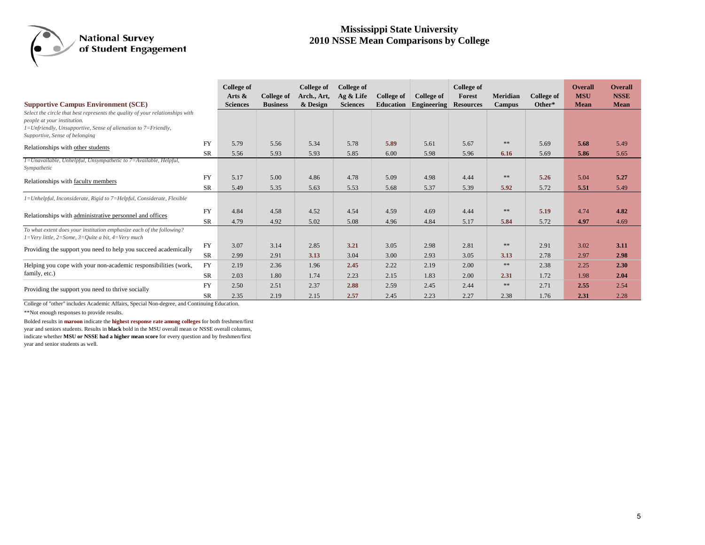#### **Mississippi State University 2010 NSSE Mean Comparisons by College**

|                                                                                                                                                                                                                                                                            |           | College of<br>Arts $\&$ | College of      | <b>College of</b><br>Arch., Art, | College of<br>$Ag &$ Life | <b>College of</b> | College of  | <b>College of</b><br>Forest | <b>Meridian</b> | <b>College of</b> | <b>Overall</b><br><b>MSU</b> | <b>Overall</b><br><b>NSSE</b> |
|----------------------------------------------------------------------------------------------------------------------------------------------------------------------------------------------------------------------------------------------------------------------------|-----------|-------------------------|-----------------|----------------------------------|---------------------------|-------------------|-------------|-----------------------------|-----------------|-------------------|------------------------------|-------------------------------|
| <b>Supportive Campus Environment (SCE)</b><br>Select the circle that best represents the quality of your relationships with<br>people at your institution.<br>$1 = Unfrienally$ , Unsupportive, Sense of alienation to $7 = Frienally$ ,<br>Supportive, Sense of belonging |           | <b>Sciences</b>         | <b>Business</b> | & Design                         | <b>Sciences</b>           | <b>Education</b>  | Engineering | <b>Resources</b>            | <b>Campus</b>   | Other*            | <b>Mean</b>                  | <b>Mean</b>                   |
| Relationships with other students                                                                                                                                                                                                                                          | <b>FY</b> | 5.79                    | 5.56            | 5.34                             | 5.78                      | 5.89              | 5.61        | 5.67                        | **              | 5.69              | 5.68                         | 5.49                          |
|                                                                                                                                                                                                                                                                            | <b>SR</b> | 5.56                    | 5.93            | 5.93                             | 5.85                      | 6.00              | 5.98        | 5.96                        | 6.16            | 5.69              | 5.86                         | 5.65                          |
| $1 =$ Unavailable, Unhelpful, Unsympathetic to $7 =$ Available, Helpful,<br>Sympathetic                                                                                                                                                                                    |           |                         |                 |                                  |                           |                   |             |                             |                 |                   |                              |                               |
| Relationships with faculty members                                                                                                                                                                                                                                         | <b>FY</b> | 5.17                    | 5.00            | 4.86                             | 4.78                      | 5.09              | 4.98        | 4.44                        | $\ast$ $\ast$   | 5.26              | 5.04                         | 5.27                          |
|                                                                                                                                                                                                                                                                            | <b>SR</b> | 5.49                    | 5.35            | 5.63                             | 5.53                      | 5.68              | 5.37        | 5.39                        | 5.92            | 5.72              | 5.51                         | 5.49                          |
| 1=Unhelpful, Inconsiderate, Rigid to 7=Helpful, Considerate, Flexible                                                                                                                                                                                                      |           |                         |                 |                                  |                           |                   |             |                             |                 |                   |                              |                               |
| Relationships with administrative personnel and offices                                                                                                                                                                                                                    | <b>FY</b> | 4.84                    | 4.58            | 4.52                             | 4.54                      | 4.59              | 4.69        | 4.44                        | $\ast$ $\ast$   | 5.19              | 4.74                         | 4.82                          |
|                                                                                                                                                                                                                                                                            | <b>SR</b> | 4.79                    | 4.92            | 5.02                             | 5.08                      | 4.96              | 4.84        | 5.17                        | 5.84            | 5.72              | 4.97                         | 4.69                          |
| To what extent does your institution emphasize each of the following?<br>$1 = Verv$ little, $2 = Some$ , $3 = Quite$ a bit, $4 = Verv$ much                                                                                                                                |           |                         |                 |                                  |                           |                   |             |                             |                 |                   |                              |                               |
| Providing the support you need to help you succeed academically                                                                                                                                                                                                            | <b>FY</b> | 3.07                    | 3.14            | 2.85                             | 3.21                      | 3.05              | 2.98        | 2.81                        | $\gg \gg$       | 2.91              | 3.02                         | 3.11                          |
|                                                                                                                                                                                                                                                                            | <b>SR</b> | 2.99                    | 2.91            | 3.13                             | 3.04                      | 3.00              | 2.93        | 3.05                        | 3.13            | 2.78              | 2.97                         | 2.98                          |
| Helping you cope with your non-academic responsibilities (work,                                                                                                                                                                                                            | <b>FY</b> | 2.19                    | 2.36            | 1.96                             | 2.45                      | 2.22              | 2.19        | 2.00                        | 冰冰              | 2.38              | 2.25                         | 2.30                          |
| family, etc.)                                                                                                                                                                                                                                                              | <b>SR</b> | 2.03                    | 1.80            | 1.74                             | 2.23                      | 2.15              | 1.83        | 2.00                        | 2.31            | 1.72              | 1.98                         | 2.04                          |
| Providing the support you need to thrive socially                                                                                                                                                                                                                          | <b>FY</b> | 2.50                    | 2.51            | 2.37                             | 2.88                      | 2.59              | 2.45        | 2.44                        | $\ast$ $\ast$   | 2.71              | 2.55                         | 2.54                          |
|                                                                                                                                                                                                                                                                            | SR        | 2.35                    | 2.19            | 2.15                             | 2.57                      | 2.45              | 2.23        | 2.27                        | 2.38            | 1.76              | 2.31                         | 2.28                          |

College of "other" includes Academic Affairs, Special Non-degree, and Continuing Education.

\*\*Not enough responses to provide results.

Bolded results in **maroon** indicate the **highest response rate among colleges** for both freshmen/first year and seniors students. Results in **black** bold in the MSU overall mean or NSSE overall columns, indicate whether **MSU or NSSE had a higher mean score** for every question and by freshmen/first year and senior students as well.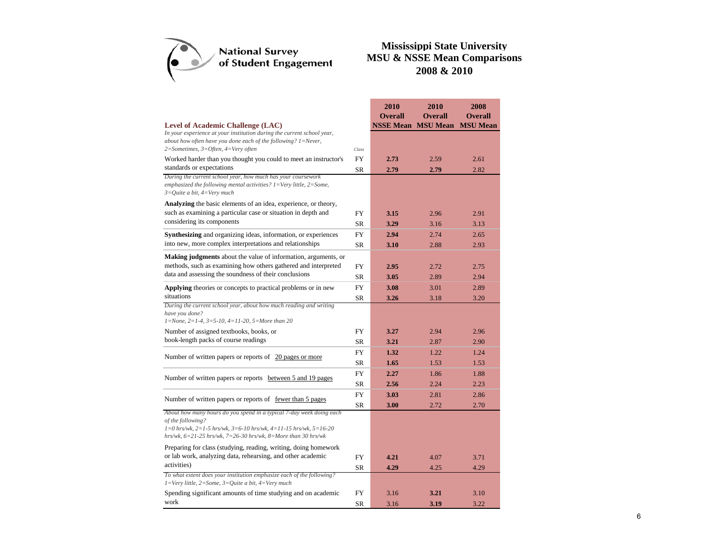

|                                                                                                                                                                                          |           | 2010                      | 2010           | 2008            |
|------------------------------------------------------------------------------------------------------------------------------------------------------------------------------------------|-----------|---------------------------|----------------|-----------------|
|                                                                                                                                                                                          |           | <b>Overall</b>            | <b>Overall</b> | <b>Overall</b>  |
| <b>Level of Academic Challenge (LAC)</b>                                                                                                                                                 |           | <b>NSSE Mean MSU Mean</b> |                | <b>MSU</b> Mean |
| In your experience at your institution during the current school year,<br>about how often have you done each of the following? $1 =$ Never,                                              |           |                           |                |                 |
| 2=Sometimes, 3=Often, 4=Very often                                                                                                                                                       | Class     |                           |                |                 |
| Worked harder than you thought you could to meet an instructor's                                                                                                                         | <b>FY</b> | 2.73                      | 2.59           | 2.61            |
| standards or expectations                                                                                                                                                                | <b>SR</b> | 2.79                      | 2.79           | 2.82            |
| During the current school year, how much has your coursework<br>emphasized the following mental activities? $1 = \text{Very little}, 2 = \text{Some},$<br>$3=Quite$ a bit, $4=Verv$ much |           |                           |                |                 |
| <b>Analyzing</b> the basic elements of an idea, experience, or theory,                                                                                                                   |           |                           |                |                 |
| such as examining a particular case or situation in depth and                                                                                                                            | FY        | 3.15                      | 2.96           | 2.91            |
| considering its components                                                                                                                                                               | <b>SR</b> | 3.29                      | 3.16           | 3.13            |
| Synthesizing and organizing ideas, information, or experiences                                                                                                                           | <b>FY</b> | 2.94                      | 2.74           | 2.65            |
| into new, more complex interpretations and relationships                                                                                                                                 | <b>SR</b> | 3.10                      | 2.88           | 2.93            |
| <b>Making judgments</b> about the value of information, arguments, or                                                                                                                    |           |                           |                |                 |
| methods, such as examining how others gathered and interpreted                                                                                                                           | FY        | 2.95                      | 2.72           | 2.75            |
| data and assessing the soundness of their conclusions                                                                                                                                    | <b>SR</b> | 3.05                      | 2.89           | 2.94            |
| <b>Applying</b> theories or concepts to practical problems or in new                                                                                                                     | <b>FY</b> | 3.08                      | 3.01           | 2.89            |
| situations                                                                                                                                                                               | SR        | 3.26                      | 3.18           | 3.20            |
| During the current school year, about how much reading and writing<br>have you done?<br>$1 = None$ , $2 = 1-4$ , $3 = 5-10$ , $4 = 11-20$ , $5 = More than 20$                           |           |                           |                |                 |
| Number of assigned textbooks, books, or                                                                                                                                                  | FY        | 3.27                      | 2.94           | 2.96            |
| book-length packs of course readings                                                                                                                                                     | <b>SR</b> | 3.21                      | 2.87           | 2.90            |
|                                                                                                                                                                                          | FY        | 1.32                      | 1.22           | 1.24            |
| Number of written papers or reports of 20 pages or more                                                                                                                                  | <b>SR</b> | 1.65                      | 1.53           | 1.53            |
|                                                                                                                                                                                          | <b>FY</b> | 2.27                      | 1.86           | 1.88            |
| Number of written papers or reports between 5 and 19 pages                                                                                                                               | SR        | 2.56                      | 2.24           | 2.23            |
|                                                                                                                                                                                          | <b>FY</b> | 3.03                      | 2.81           | 2.86            |
| Number of written papers or reports of <u>fewer than 5 pages</u>                                                                                                                         | SR        | 3.00                      | 2.72           | 2.70            |
| About how many hours do you spend in a typical 7-day week doing each                                                                                                                     |           |                           |                |                 |
| of the following?<br>$1=0$ hrs/wk, $2=1-5$ hrs/wk, $3=6-10$ hrs/wk, $4=11-15$ hrs/wk, $5=16-20$<br>hrs/wk, $6=21-25$ hrs/wk, $7=26-30$ hrs/wk, $8=More$ than 30 hrs/wk                   |           |                           |                |                 |
| Preparing for class (studying, reading, writing, doing homework                                                                                                                          |           |                           |                |                 |
| or lab work, analyzing data, rehearsing, and other academic                                                                                                                              | FY        | 4.21                      | 4.07           | 3.71            |
| activities)                                                                                                                                                                              | SR        | 4.29                      | 4.25           | 4.29            |
| To what extent does your institution emphasize each of the following?<br>$1 = \text{Very little}, 2 = \text{Some}, 3 = \text{Quite}, 4 = \text{Very much}$                               |           |                           |                |                 |
| Spending significant amounts of time studying and on academic                                                                                                                            | <b>FY</b> | 3.16                      | 3.21           | 3.10            |
| work                                                                                                                                                                                     | <b>SR</b> | 3.16                      | 3.19           | 3.22            |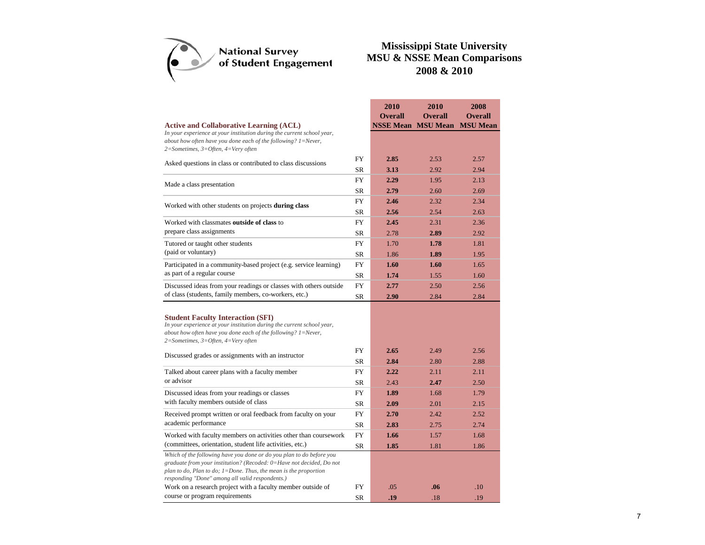

|                                                                                                                                                                                                                                                                         |           | 2010                      | 2010           | 2008            |
|-------------------------------------------------------------------------------------------------------------------------------------------------------------------------------------------------------------------------------------------------------------------------|-----------|---------------------------|----------------|-----------------|
|                                                                                                                                                                                                                                                                         |           | <b>Overall</b>            | <b>Overall</b> | <b>Overall</b>  |
| <b>Active and Collaborative Learning (ACL)</b>                                                                                                                                                                                                                          |           | <b>NSSE Mean MSU Mean</b> |                | <b>MSU Mean</b> |
| In your experience at your institution during the current school year,<br>about how often have you done each of the following? $1 =$ Never,<br>$2 = Sometimes, 3 = Often, 4 = Very often$                                                                               |           |                           |                |                 |
| Asked questions in class or contributed to class discussions                                                                                                                                                                                                            | FY        | 2.85                      | 2.53           | 2.57            |
|                                                                                                                                                                                                                                                                         | <b>SR</b> | 3.13                      | 2.92           | 2.94            |
| Made a class presentation                                                                                                                                                                                                                                               | <b>FY</b> | 2.29                      | 1.95           | 2.13            |
|                                                                                                                                                                                                                                                                         | <b>SR</b> | 2.79                      | 2.60           | 2.69            |
| Worked with other students on projects during class                                                                                                                                                                                                                     | <b>FY</b> | 2.46                      | 2.32           | 2.34            |
|                                                                                                                                                                                                                                                                         | <b>SR</b> | 2.56                      | 2.54           | 2.63            |
| Worked with classmates outside of class to                                                                                                                                                                                                                              | FY        | 2.45                      | 2.31           | 2.36            |
| prepare class assignments                                                                                                                                                                                                                                               | SR        | 2.78                      | 2.89           | 2.92            |
| Tutored or taught other students                                                                                                                                                                                                                                        | <b>FY</b> | 1.70                      | 1.78           | 1.81            |
| (paid or voluntary)                                                                                                                                                                                                                                                     | <b>SR</b> | 1.86                      | 1.89           | 1.95            |
| Participated in a community-based project (e.g. service learning)                                                                                                                                                                                                       | <b>FY</b> | 1.60                      | 1.60           | 1.65            |
| as part of a regular course                                                                                                                                                                                                                                             | SR        | 1.74                      | 1.55           | 1.60            |
| Discussed ideas from your readings or classes with others outside                                                                                                                                                                                                       | FY        | 2.77                      | 2.50           | 2.56            |
| of class (students, family members, co-workers, etc.)                                                                                                                                                                                                                   | SR        | 2.90                      | 2.84           | 2.84            |
| <b>Student Faculty Interaction (SFI)</b><br>In your experience at your institution during the current school year,<br>about how often have you done each of the following? $1 =$ Never,<br>$2 = Sometimes, 3 = Often, 4 = Very often$                                   |           |                           |                |                 |
| Discussed grades or assignments with an instructor                                                                                                                                                                                                                      | FY        | 2.65                      | 2.49           | 2.56            |
|                                                                                                                                                                                                                                                                         | SR        | 2.84                      | 2.80           | 2.88            |
| Talked about career plans with a faculty member                                                                                                                                                                                                                         | FY        | 2.22                      | 2.11           | 2.11            |
| or advisor                                                                                                                                                                                                                                                              | <b>SR</b> | 2.43                      | 2.47           | 2.50            |
| Discussed ideas from your readings or classes                                                                                                                                                                                                                           | FY        | 1.89                      | 1.68           | 1.79            |
| with faculty members outside of class                                                                                                                                                                                                                                   | <b>SR</b> | 2.09                      | 2.01           | 2.15            |
| Received prompt written or oral feedback from faculty on your                                                                                                                                                                                                           | FY        | 2.70                      | 2.42           | 2.52            |
| academic performance                                                                                                                                                                                                                                                    | SR        | 2.83                      | 2.75           | 2.74            |
| Worked with faculty members on activities other than coursework                                                                                                                                                                                                         | FY        | 1.66                      | 1.57           | 1.68            |
| (committees, orientation, student life activities, etc.)                                                                                                                                                                                                                | <b>SR</b> | 1.85                      | 1.81           | 1.86            |
| Which of the following have you done or do you plan to do before you<br>graduate from your institution? (Recoded: 0=Have not decided, Do not<br>plan to do, Plan to do; $1 =$ Done. Thus, the mean is the proportion<br>responding "Done" among all valid respondents.) |           |                           |                |                 |
| Work on a research project with a faculty member outside of                                                                                                                                                                                                             | FY        | .05                       | .06            | .10             |
| course or program requirements                                                                                                                                                                                                                                          | <b>SR</b> | .19                       | .18            | .19             |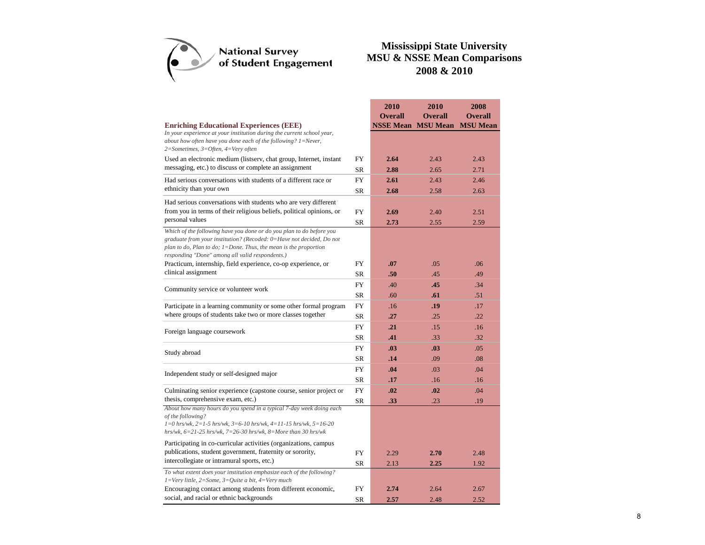

**2010** 

|                                                                                                                                                                                                                                                                         |           | 2010                      | 2010           | 2008            |
|-------------------------------------------------------------------------------------------------------------------------------------------------------------------------------------------------------------------------------------------------------------------------|-----------|---------------------------|----------------|-----------------|
|                                                                                                                                                                                                                                                                         |           | <b>Overall</b>            | <b>Overall</b> | <b>Overall</b>  |
| <b>Enriching Educational Experiences (EEE)</b>                                                                                                                                                                                                                          |           | <b>NSSE Mean MSU Mean</b> |                | <b>MSU</b> Mean |
| In your experience at your institution during the current school year,<br>about how often have you done each of the following? $1 =$ Never,<br>2=Sometimes, 3=Often, 4=Very often                                                                                       |           |                           |                |                 |
| Used an electronic medium (listserv, chat group, Internet, instant                                                                                                                                                                                                      | <b>FY</b> | 2.64                      | 2.43           | 2.43            |
| messaging, etc.) to discuss or complete an assignment                                                                                                                                                                                                                   | <b>SR</b> | 2.88                      | 2.65           | 2.71            |
| Had serious conversations with students of a different race or                                                                                                                                                                                                          | <b>FY</b> | 2.61                      | 2.43           | 2.46            |
| ethnicity than your own                                                                                                                                                                                                                                                 | <b>SR</b> | 2.68                      | 2.58           | 2.63            |
| Had serious conversations with students who are very different                                                                                                                                                                                                          |           |                           |                |                 |
| from you in terms of their religious beliefs, political opinions, or                                                                                                                                                                                                    | <b>FY</b> | 2.69                      | 2.40           | 2.51            |
| personal values                                                                                                                                                                                                                                                         | <b>SR</b> | 2.73                      | 2.55           | 2.59            |
| Which of the following have you done or do you plan to do before you<br>graduate from your institution? (Recoded: 0=Have not decided, Do not<br>plan to do, Plan to do; $1 =$ Done. Thus, the mean is the proportion<br>responding "Done" among all valid respondents.) |           |                           |                |                 |
| Practicum, internship, field experience, co-op experience, or                                                                                                                                                                                                           | <b>FY</b> | .07                       | .05            | .06             |
| clinical assignment                                                                                                                                                                                                                                                     | <b>SR</b> | .50                       | .45            | .49             |
| Community service or volunteer work                                                                                                                                                                                                                                     | <b>FY</b> | .40                       | .45            | .34             |
|                                                                                                                                                                                                                                                                         | <b>SR</b> | .60                       | .61            | .51             |
| Participate in a learning community or some other formal program                                                                                                                                                                                                        | <b>FY</b> | .16                       | .19            | .17             |
| where groups of students take two or more classes together                                                                                                                                                                                                              | <b>SR</b> | .27                       | .25            | .22             |
| Foreign language coursework                                                                                                                                                                                                                                             | <b>FY</b> | .21                       | .15            | .16             |
|                                                                                                                                                                                                                                                                         | SR        | .41                       | .33            | .32             |
| Study abroad                                                                                                                                                                                                                                                            | <b>FY</b> | .03                       | .03            | .05             |
|                                                                                                                                                                                                                                                                         | SR        | .14                       | .09            | .08             |
| Independent study or self-designed major                                                                                                                                                                                                                                | FY        | .04                       | .03            | .04             |
|                                                                                                                                                                                                                                                                         | SR        | .17                       | .16            | .16             |
| Culminating senior experience (capstone course, senior project or                                                                                                                                                                                                       | FY        | .02                       | .02            | .04             |
| thesis, comprehensive exam, etc.)                                                                                                                                                                                                                                       | SR        | .33                       | .23            | .19             |
| About how many hours do you spend in a typical 7-day week doing each<br>of the following?<br>$1=0$ hrs/wk, $2=1-5$ hrs/wk, $3=6-10$ hrs/wk, $4=11-15$ hrs/wk, $5=16-20$<br>hrs/wk, $6=21-25$ hrs/wk, $7=26-30$ hrs/wk, $8=$ More than 30 hrs/wk                         |           |                           |                |                 |
| Participating in co-curricular activities (organizations, campus                                                                                                                                                                                                        |           |                           |                |                 |
| publications, student government, fraternity or sorority,                                                                                                                                                                                                               | <b>FY</b> | 2.29                      | 2.70           | 2.48            |
| intercollegiate or intramural sports, etc.)                                                                                                                                                                                                                             | SR        | 2.13                      | 2.25           | 1.92            |
| To what extent does your institution emphasize each of the following?<br>$1 = \text{Very little}, 2 = \text{Some}, 3 = \text{Quite}, 4 = \text{Very much}$                                                                                                              |           |                           |                |                 |
| Encouraging contact among students from different economic,                                                                                                                                                                                                             | FY        | 2.74                      | 2.64           | 2.67            |
| social, and racial or ethnic backgrounds                                                                                                                                                                                                                                | SR        | 2.57                      | 2.48           | 2.52            |